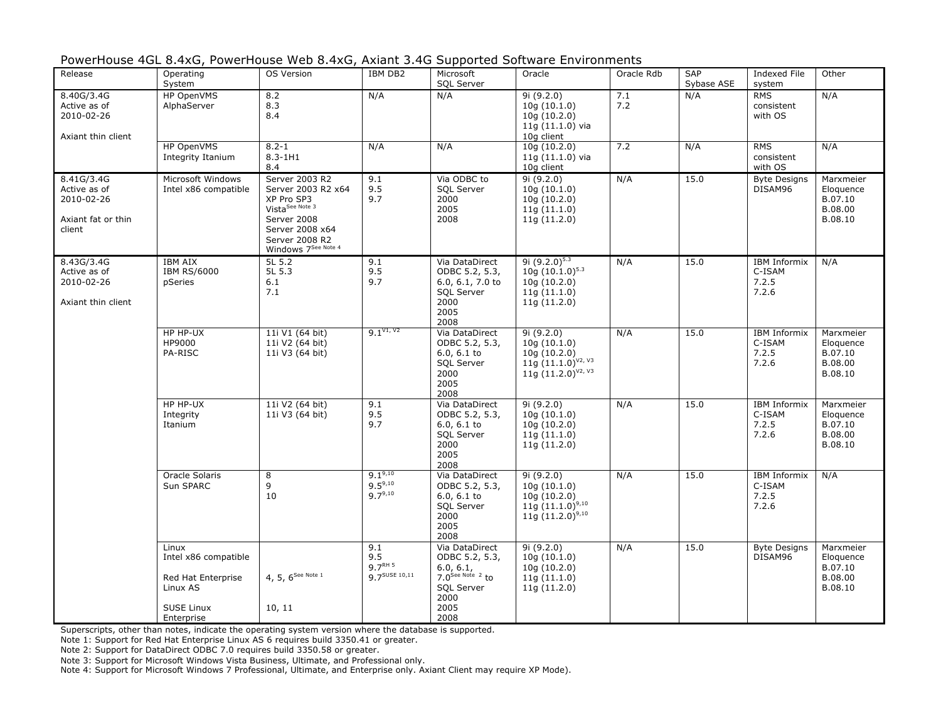| PowerHouse 4GL 8.4xG, PowerHouse Web 8.4xG, Axiant 3.4G Supported Software Environments |  |  |  |  |
|-----------------------------------------------------------------------------------------|--|--|--|--|
|-----------------------------------------------------------------------------------------|--|--|--|--|

| Release                                                                  | Operating<br>System                                                                                | OS Version                                                                                                                                                   | IBM DB2                                            | Microsoft<br>SQL Server                                                                                             | Oracle                                                                                                       | Oracle Rdb | <b>SAP</b><br>Sybase ASE | <b>Indexed File</b><br>system                   | Other                                                   |
|--------------------------------------------------------------------------|----------------------------------------------------------------------------------------------------|--------------------------------------------------------------------------------------------------------------------------------------------------------------|----------------------------------------------------|---------------------------------------------------------------------------------------------------------------------|--------------------------------------------------------------------------------------------------------------|------------|--------------------------|-------------------------------------------------|---------------------------------------------------------|
| 8.40G/3.4G<br>Active as of<br>2010-02-26<br>Axiant thin client           | HP OpenVMS<br>AlphaServer                                                                          | 8.2<br>8.3<br>8.4                                                                                                                                            | N/A                                                | N/A                                                                                                                 | 9i (9.2.0)<br>10q(10.1.0)<br>10q(10.2.0)<br>$11q(11.1.0)$ via<br>10g client                                  | 7.1<br>7.2 | N/A                      | <b>RMS</b><br>consistent<br>with OS             | N/A                                                     |
|                                                                          | HP OpenVMS<br>Integrity Itanium                                                                    | $8.2 - 1$<br>$8.3 - 1H1$<br>8.4                                                                                                                              | N/A                                                | N/A                                                                                                                 | 10q(10.2.0)<br>11g $(11.1.0)$ via<br>10g client                                                              | 7.2        | N/A                      | <b>RMS</b><br>consistent<br>with OS             | N/A                                                     |
| 8.41G/3.4G<br>Active as of<br>2010-02-26<br>Axiant fat or thin<br>client | Microsoft Windows<br>Intel x86 compatible                                                          | Server 2003 R2<br>Server 2003 R2 x64<br>XP Pro SP3<br>Vista <sup>See Note 3</sup><br>Server 2008<br>Server 2008 x64<br>Server 2008 R2<br>Windows 7See Note 4 | 9.1<br>9.5<br>9.7                                  | Via ODBC to<br><b>SOL Server</b><br>2000<br>2005<br>2008                                                            | 9i (9.2.0)<br>10q(10.1.0)<br>10q(10.2.0)<br>11q(11.1.0)<br>11q(11.2.0)                                       | N/A        | 15.0                     | <b>Byte Designs</b><br>DISAM96                  | Marxmeier<br>Eloquence<br>B.07.10<br>B.08.00<br>B.08.10 |
| 8.43G/3.4G<br>Active as of<br>2010-02-26<br>Axiant thin client           | <b>IBM AIX</b><br><b>IBM RS/6000</b><br>pSeries                                                    | 5L 5.2<br>5L 5.3<br>6.1<br>7.1                                                                                                                               | 9.1<br>9.5<br>9.7                                  | Via DataDirect<br>ODBC 5.2, 5.3,<br>6.0, 6.1, 7.0 to<br>SQL Server<br>2000<br>2005<br>2008                          | 9i $(9.2.0)^{5.3}$<br>$10q(10.1.0)^{5.3}$<br>10g (10.2.0)<br>11q(11.1.0)<br>11g (11.2.0)                     | N/A        | 15.0                     | <b>IBM Informix</b><br>C-ISAM<br>7.2.5<br>7.2.6 | N/A                                                     |
|                                                                          | HP HP-UX<br>HP9000<br>PA-RISC                                                                      | 11i V1 (64 bit)<br>11i V2 (64 bit)<br>11i V3 (64 bit)                                                                                                        | $9.1^{V1, V2}$                                     | Via DataDirect<br>ODBC 5.2, 5.3,<br>$6.0, 6.1$ to<br>SQL Server<br>2000<br>2005<br>2008                             | 9i (9.2.0)<br>10q(10.1.0)<br>10q(10.2.0)<br>$11\overline{9}$ $(11.1.0)^{V2, V3}$<br>11g $(11.2.0)^{V_2 V_3}$ | N/A        | 15.0                     | <b>IBM Informix</b><br>C-ISAM<br>7.2.5<br>7.2.6 | Marxmeier<br>Eloquence<br>B.07.10<br>B.08.00<br>B.08.10 |
|                                                                          | HP HP-UX<br>Integrity<br>Itanium                                                                   | 11i V2 (64 bit)<br>11i V3 (64 bit)                                                                                                                           | 9.1<br>9.5<br>9.7                                  | Via DataDirect<br>ODBC 5.2, 5.3,<br>$6.0, 6.1$ to<br>SQL Server<br>2000<br>2005<br>2008                             | 9i (9.2.0)<br>10q(10.1.0)<br>10q(10.2.0)<br>11q(11.1.0)<br>11g (11.2.0)                                      | N/A        | 15.0                     | <b>IBM Informix</b><br>C-ISAM<br>7.2.5<br>7.2.6 | Marxmeier<br>Eloquence<br>B.07.10<br>B.08.00<br>B.08.10 |
|                                                                          | Oracle Solaris<br>Sun SPARC                                                                        | 8<br>9<br>10                                                                                                                                                 | $9.1^{9,10}$<br>$9.5^{9,10}$<br>$9.7^{9,10}$       | Via DataDirect<br>ODBC 5.2, 5.3,<br>$6.0, 6.1$ to<br><b>SQL Server</b><br>2000<br>2005<br>2008                      | 9i (9.2.0)<br>10q(10.1.0)<br>10g (10.2.0)<br>11g $(11.1.0)^{9,10}$<br>$11\bar{g}$ (11.2.0) <sup>9,10</sup>   | N/A        | 15.0                     | <b>IBM Informix</b><br>C-ISAM<br>7.2.5<br>7.2.6 | N/A                                                     |
|                                                                          | Linux<br>Intel x86 compatible<br>Red Hat Enterprise<br>Linux AS<br><b>SUSE Linux</b><br>Enterprise | 4, 5, $6^{See Note 1}$<br>10, 11                                                                                                                             | 9.1<br>9.5<br>9.7 <sup>RH</sup> 5<br>9 7SUSE 10,11 | Via DataDirect<br>ODBC 5.2, 5.3,<br>6.0, 6.1,<br>$7.0$ See Note $2$ to<br><b>SOL Server</b><br>2000<br>2005<br>2008 | 9i(9.2.0)<br>10q(10.1.0)<br>10g (10.2.0)<br>11q(11.1.0)<br>11g(11.2.0)                                       | N/A        | 15.0                     | <b>Byte Designs</b><br>DISAM96                  | Marxmeier<br>Eloquence<br>B.07.10<br>B.08.00<br>B.08.10 |

Note 1: Support for Red Hat Enterprise Linux AS 6 requires build 3350.41 or greater.

Note 2: Support for DataDirect ODBC 7.0 requires build 3350.58 or greater.

Note 3: Support for Microsoft Windows Vista Business, Ultimate, and Professional only.

Note 4: Support for Microsoft Windows 7 Professional, Ultimate, and Enterprise only. Axiant Client may require XP Mode).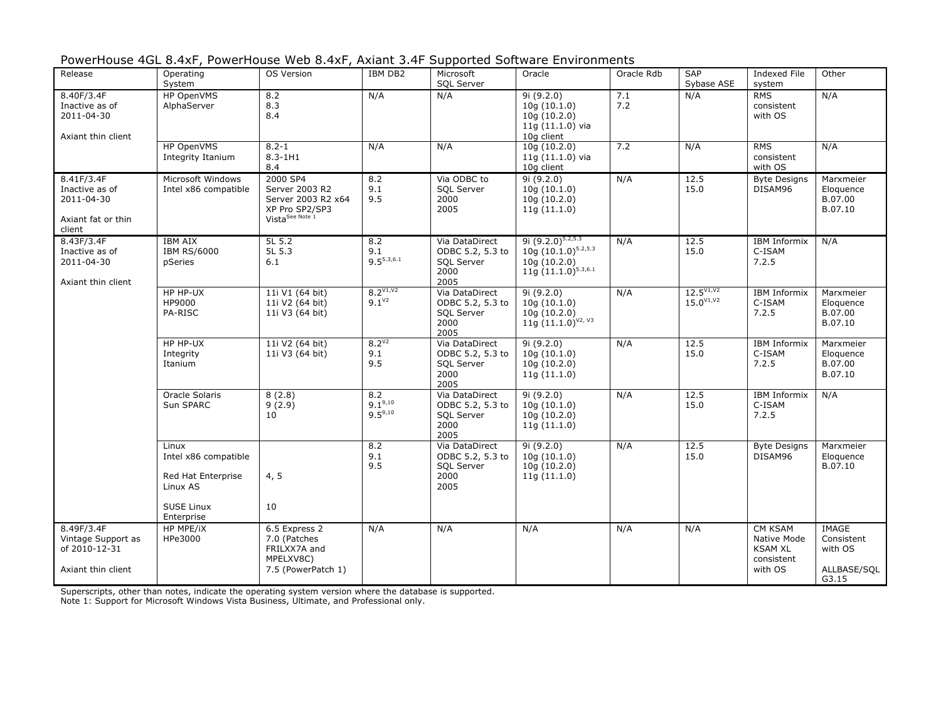| PowerHouse 4GL 8.4xF, PowerHouse Web 8.4xF, Axiant 3.4F Supported Software Environments |  |
|-----------------------------------------------------------------------------------------|--|
|-----------------------------------------------------------------------------------------|--|

| Release                                                                    | Operating<br>System                                                                  | <b>OS Version</b>                                                                                 | <b>IBM DB2</b>                      | Microsoft<br>SQL Server                                                 | Oracle                                                                                       | Oracle Rdb | <b>SAP</b><br>Sybase ASE         | <b>Indexed File</b><br>system                          | Other                                         |
|----------------------------------------------------------------------------|--------------------------------------------------------------------------------------|---------------------------------------------------------------------------------------------------|-------------------------------------|-------------------------------------------------------------------------|----------------------------------------------------------------------------------------------|------------|----------------------------------|--------------------------------------------------------|-----------------------------------------------|
| 8.40F/3.4F<br>Inactive as of<br>2011-04-30<br>Axiant thin client           | HP OpenVMS<br>AlphaServer                                                            | 8.2<br>8.3<br>8.4                                                                                 | N/A                                 | N/A                                                                     | 9i (9.2.0)<br>10q(10.1.0)<br>10g (10.2.0)<br>11g (11.1.0) via<br>10g client                  | 7.1<br>7.2 | N/A                              | <b>RMS</b><br>consistent<br>with OS                    | N/A                                           |
|                                                                            | HP OpenVMS<br>Integrity Itanium                                                      | $8.2 - 1$<br>$8.3 - 1H1$<br>8.4                                                                   | N/A                                 | N/A                                                                     | 10g (10.2.0)<br>$11q(11.1.0)$ via<br>10g client                                              | 7.2        | N/A                              | <b>RMS</b><br>consistent<br>with OS                    | N/A                                           |
| 8.41F/3.4F<br>Inactive as of<br>2011-04-30<br>Axiant fat or thin<br>client | Microsoft Windows<br>Intel x86 compatible                                            | 2000 SP4<br>Server 2003 R2<br>Server 2003 R2 x64<br>XP Pro SP2/SP3<br>Vista <sup>See Note 1</sup> | 8.2<br>9.1<br>9.5                   | Via ODBC to<br>SQL Server<br>2000<br>2005                               | 9i(9.2.0)<br>10q(10.1.0)<br>10g (10.2.0)<br>11q(11.1.0)                                      | N/A        | 12.5<br>15.0                     | <b>Byte Designs</b><br>DISAM96                         | Marxmeier<br>Eloquence<br>B.07.00<br>B.07.10  |
| 8.43F/3.4F<br>Inactive as of<br>2011-04-30<br>Axiant thin client           | <b>IBM AIX</b><br><b>IBM RS/6000</b><br>pSeries                                      | 5L 5.2<br>5L 5.3<br>6.1                                                                           | 8.2<br>9.1<br>$9.5^{5.3,6.1}$       | Via DataDirect<br>ODBC 5.2, 5.3 to<br><b>SOL Server</b><br>2000<br>2005 | 9i $(9.2.0)^{5.2,5.3}$<br>$10g(10.1.0)^{5.2,5.3}$<br>10g(10.2.0)<br>11g $(11.1.0)^{5.3,6.1}$ | N/A        | 12.5<br>15.0                     | <b>IBM Informix</b><br>C-ISAM<br>7.2.5                 | N/A                                           |
|                                                                            | HP HP-UX<br>HP9000<br>PA-RISC                                                        | 11i V1 (64 bit)<br>11i V2 (64 bit)<br>11i V3 (64 bit)                                             | $8.2^{V1,V2}$<br>$9.1^{V2}$         | Via DataDirect<br>ODBC 5.2, 5.3 to<br>SQL Server<br>2000<br>2005        | 9i(9.2.0)<br>10q(10.1.0)<br>10q(10.2.0)<br>11g $(11.1.0)^{V2, V3}$                           | N/A        | $12.5^{V1,V2}$<br>$15.0^{V1,V2}$ | <b>IBM Informix</b><br>C-ISAM<br>7.2.5                 | Marxmeier<br>Eloquence<br>B.07.00<br>B.07.10  |
|                                                                            | HP HP-UX<br>Integrity<br>Itanium                                                     | 11i V2 (64 bit)<br>11i V3 (64 bit)                                                                | $8.2^{V2}$<br>9.1<br>9.5            | Via DataDirect<br>ODBC 5.2, 5.3 to<br><b>SQL Server</b><br>2000<br>2005 | 9i(9.2.0)<br>10q(10.1.0)<br>10g (10.2.0)<br>11q(11.1.0)                                      | N/A        | 12.5<br>15.0                     | <b>IBM Informix</b><br>C-ISAM<br>7.2.5                 | Marxmeier<br>Eloquence<br>B.07.00<br>B.07.10  |
|                                                                            | Oracle Solaris<br>Sun SPARC                                                          | 8(2.8)<br>9(2.9)<br>10                                                                            | 8.2<br>$9.1^{9,10}$<br>$9.5^{9,10}$ | Via DataDirect<br>ODBC 5.2, 5.3 to<br>SQL Server<br>2000<br>2005        | 9i(9.2.0)<br>10g(10.1.0)<br>10g (10.2.0)<br>11q(11.1.0)                                      | N/A        | 12.5<br>15.0                     | <b>IBM Informix</b><br>C-ISAM<br>7.2.5                 | N/A                                           |
|                                                                            | Linux<br>Intel x86 compatible<br>Red Hat Enterprise<br>Linux AS<br><b>SUSE Linux</b> | 4, 5<br>10                                                                                        | 8.2<br>9.1<br>9.5                   | Via DataDirect<br>ODBC 5.2, 5.3 to<br>SQL Server<br>2000<br>2005        | 9i(9.2.0)<br>10q(10.1.0)<br>10g (10.2.0)<br>11q(11.1.0)                                      | N/A        | 12.5<br>15.0                     | <b>Byte Designs</b><br>DISAM96                         | Marxmeier<br>Eloquence<br>B.07.10             |
| 8.49F/3.4F                                                                 | Enterprise<br>HP MPE/iX                                                              | 6.5 Express 2                                                                                     | N/A                                 | N/A                                                                     | N/A                                                                                          | N/A        | N/A                              | <b>CM KSAM</b>                                         | <b>IMAGE</b>                                  |
| Vintage Support as<br>of 2010-12-31<br>Axiant thin client                  | HPe3000                                                                              | 7.0 (Patches<br>FRILXX7A and<br>MPELXV8C)<br>7.5 (PowerPatch 1)                                   |                                     |                                                                         |                                                                                              |            |                                  | Native Mode<br><b>KSAM XL</b><br>consistent<br>with OS | Consistent<br>with OS<br>ALLBASE/SQL<br>G3.15 |

Note 1: Support for Microsoft Windows Vista Business, Ultimate, and Professional only.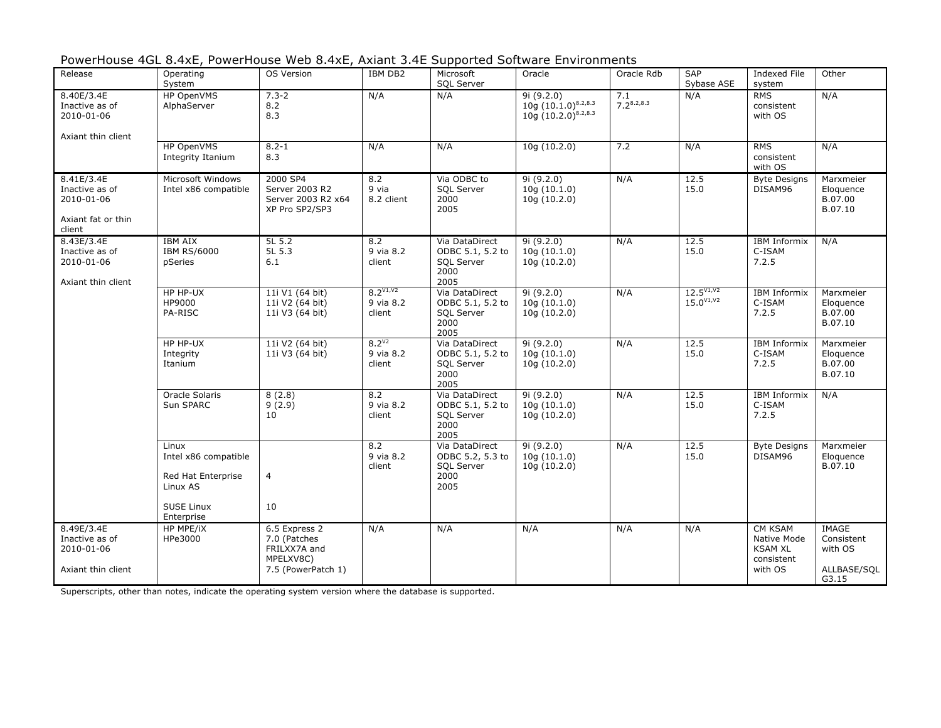| PowerHouse 4GL 8.4xE, PowerHouse Web 8.4xE, Axiant 3.4E Supported Software Environments |  |  |  |  |
|-----------------------------------------------------------------------------------------|--|--|--|--|
|-----------------------------------------------------------------------------------------|--|--|--|--|

| Release                                                                    | Operating<br>System                                             | OS Version                                                                       | IBM DB2                              | Microsoft<br>SQL Server                                                 | Oracle                                                            | Oracle Rdb             | <b>SAP</b><br>Sybase ASE                 | <b>Indexed File</b><br>system                                            | Other                                                         |
|----------------------------------------------------------------------------|-----------------------------------------------------------------|----------------------------------------------------------------------------------|--------------------------------------|-------------------------------------------------------------------------|-------------------------------------------------------------------|------------------------|------------------------------------------|--------------------------------------------------------------------------|---------------------------------------------------------------|
| 8.40E/3.4E<br>Inactive as of<br>2010-01-06<br>Axiant thin client           | HP OpenVMS<br>AlphaServer                                       | $7.3 - 2$<br>$8.2\,$<br>8.3                                                      | N/A                                  | N/A                                                                     | 9i (9.2.0)<br>$10g (10.1.0)^{8.2,8.3}$<br>$10g(10.2.0)^{8.2,8.3}$ | 7.1<br>$7.2^{8.2,8.3}$ | N/A                                      | <b>RMS</b><br>consistent<br>with OS                                      | N/A                                                           |
|                                                                            | HP OpenVMS<br>Integrity Itanium                                 | $8.2 - 1$<br>8.3                                                                 | N/A                                  | N/A                                                                     | 10q(10.2.0)                                                       | 7.2                    | N/A                                      | <b>RMS</b><br>consistent<br>with OS                                      | N/A                                                           |
| 8.41E/3.4E<br>Inactive as of<br>2010-01-06<br>Axiant fat or thin<br>client | Microsoft Windows<br>Intel x86 compatible                       | 2000 SP4<br>Server 2003 R2<br>Server 2003 R2 x64<br>XP Pro SP2/SP3               | 8.2<br>9 via<br>8.2 client           | Via ODBC to<br><b>SOL Server</b><br>2000<br>2005                        | 9i(9.2.0)<br>10q(10.1.0)<br>10g (10.2.0)                          | N/A                    | 12.5<br>15.0                             | <b>Byte Designs</b><br>DISAM96                                           | Marxmeier<br>Eloquence<br>B.07.00<br>B.07.10                  |
| 8.43E/3.4E<br>Inactive as of<br>2010-01-06<br>Axiant thin client           | <b>IBM AIX</b><br><b>IBM RS/6000</b><br>pSeries                 | 5L 5.2<br>5L 5.3<br>6.1                                                          | 8.2<br>9 via 8.2<br>client           | Via DataDirect<br>ODBC 5.1, 5.2 to<br>SQL Server<br>2000<br>2005        | 9i(9.2.0)<br>10q(10.1.0)<br>10q(10.2.0)                           | N/A                    | 12.5<br>15.0                             | <b>IBM Informix</b><br>C-ISAM<br>7.2.5                                   | N/A                                                           |
|                                                                            | HP HP-UX<br>HP9000<br>PA-RISC                                   | 11i V1 (64 bit)<br>11i V2 (64 bit)<br>11i V3 (64 bit)                            | $8.2^{V1,V2}$<br>9 via 8.2<br>client | Via DataDirect<br>ODBC 5.1, 5.2 to<br>SQL Server<br>2000<br>2005        | 9i(9.2.0)<br>10q(10.1.0)<br>10q(10.2.0)                           | N/A                    | $12.5^{V1,V2}$<br>$15.0^{\vee 1,\vee 2}$ | <b>IBM Informix</b><br>C-ISAM<br>7.2.5                                   | Marxmeier<br>Eloquence<br>B.07.00<br>B.07.10                  |
|                                                                            | HP HP-UX<br>Integrity<br>Itanium                                | 11i V2 (64 bit)<br>11i V3 (64 bit)                                               | $8.2^{V2}$<br>9 via 8.2<br>client    | Via DataDirect<br>ODBC 5.1, 5.2 to<br><b>SQL Server</b><br>2000<br>2005 | 9i (9.2.0)<br>10q(10.1.0)<br>10q(10.2.0)                          | N/A                    | 12.5<br>15.0                             | <b>IBM Informix</b><br>C-ISAM<br>7.2.5                                   | Marxmeier<br>Eloquence<br>B.07.00<br>B.07.10                  |
|                                                                            | Oracle Solaris<br>Sun SPARC                                     | 8(2.8)<br>9(2.9)<br>10                                                           | 8.2<br>9 via 8.2<br>client           | Via DataDirect<br>ODBC 5.1, 5.2 to<br>SQL Server<br>2000<br>2005        | 9i(9.2.0)<br>10g (10.1.0)<br>10q(10.2.0)                          | N/A                    | 12.5<br>15.0                             | <b>IBM Informix</b><br>C-ISAM<br>7.2.5                                   | N/A                                                           |
|                                                                            | Linux<br>Intel x86 compatible<br>Red Hat Enterprise<br>Linux AS | $\overline{4}$                                                                   | 8.2<br>9 via 8.2<br>client           | Via DataDirect<br>ODBC 5.2, 5.3 to<br>SQL Server<br>2000<br>2005        | 9i (9.2.0)<br>10q(10.1.0)<br>10g(10.2.0)                          | N/A                    | 12.5<br>15.0                             | <b>Byte Designs</b><br>DISAM96                                           | Marxmeier<br>Eloquence<br>B.07.10                             |
|                                                                            | <b>SUSE Linux</b><br>Enterprise                                 | 10                                                                               |                                      |                                                                         |                                                                   |                        |                                          |                                                                          |                                                               |
| 8.49E/3.4E<br>Inactive as of<br>2010-01-06<br>Axiant thin client           | <b>HP MPE/IX</b><br>HPe3000                                     | 6.5 Express 2<br>7.0 (Patches<br>FRILXX7A and<br>MPELXV8C)<br>7.5 (PowerPatch 1) | N/A                                  | N/A                                                                     | N/A                                                               | N/A                    | N/A                                      | <b>CM KSAM</b><br>Native Mode<br><b>KSAM XL</b><br>consistent<br>with OS | <b>IMAGE</b><br>Consistent<br>with OS<br>ALLBASE/SQL<br>G3.15 |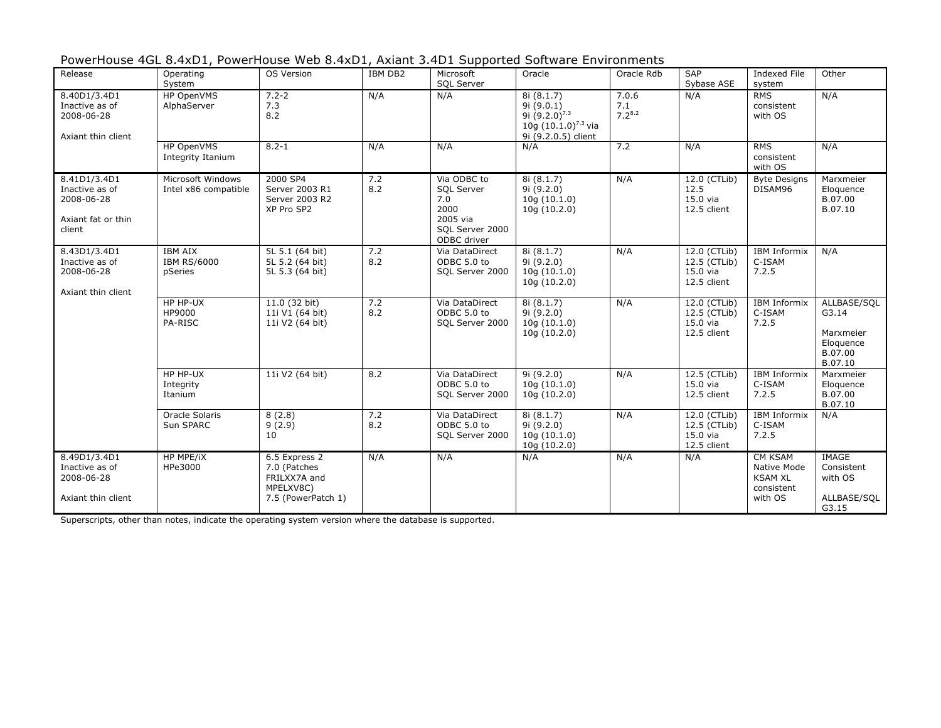| PowerHouse 4GL 8.4xD1, PowerHouse Web 8.4xD1, Axiant 3.4D1 Supported Software Environments |
|--------------------------------------------------------------------------------------------|
|--------------------------------------------------------------------------------------------|

| Release                                                                      | Operating<br>System                             | OS Version                                                                       | IBM DB2    | Microsoft<br>SQL Server                                                                | Oracle                                                                                            | Oracle Rdb                  | <b>SAP</b><br>Sybase ASE                                    | <b>Indexed File</b><br>system                                            | Other                                                                |
|------------------------------------------------------------------------------|-------------------------------------------------|----------------------------------------------------------------------------------|------------|----------------------------------------------------------------------------------------|---------------------------------------------------------------------------------------------------|-----------------------------|-------------------------------------------------------------|--------------------------------------------------------------------------|----------------------------------------------------------------------|
| 8.40D1/3.4D1<br>Inactive as of<br>2008-06-28<br>Axiant thin client           | HP OpenVMS<br>AlphaServer                       | $7.2 - 2$<br>7.3<br>8.2                                                          | N/A        | N/A                                                                                    | 8i (8.1.7)<br>9i (9.0.1)<br>9i $(9.2.0)^{7.3}$<br>10g $(10.1.0)^{7.3}$ via<br>9i (9.2.0.5) client | 7.0.6<br>7.1<br>$7.2^{8.2}$ | N/A                                                         | <b>RMS</b><br>consistent<br>with OS                                      | N/A                                                                  |
|                                                                              | HP OpenVMS<br>Integrity Itanium                 | $8.2 - 1$                                                                        | N/A        | N/A                                                                                    | N/A                                                                                               | 7.2                         | N/A                                                         | <b>RMS</b><br>consistent<br>with OS                                      | N/A                                                                  |
| 8.41D1/3.4D1<br>Inactive as of<br>2008-06-28<br>Axiant fat or thin<br>client | Microsoft Windows<br>Intel x86 compatible       | 2000 SP4<br>Server 2003 R1<br>Server 2003 R2<br>XP Pro SP2                       | 7.2<br>8.2 | Via ODBC to<br>SQL Server<br>7.0<br>2000<br>2005 via<br>SQL Server 2000<br>ODBC driver | 8i (8.1.7)<br>9i(9.2.0)<br>10q(10.1.0)<br>10g (10.2.0)                                            | N/A                         | 12.0 (CTLib)<br>12.5<br>$15.0$ via<br>12.5 client           | <b>Byte Designs</b><br>DISAM96                                           | Marxmeier<br>Eloquence<br>B.07.00<br>B.07.10                         |
| 8.43D1/3.4D1<br>Inactive as of<br>2008-06-28<br>Axiant thin client           | <b>IBM AIX</b><br><b>IBM RS/6000</b><br>pSeries | 5L 5.1 (64 bit)<br>5L 5.2 (64 bit)<br>5L 5.3 (64 bit)                            | 7.2<br>8.2 | Via DataDirect<br>ODBC 5.0 to<br>SQL Server 2000                                       | 8i (8.1.7)<br>9i(9.2.0)<br>10q(10.1.0)<br>10q(10.2.0)                                             | N/A                         | 12.0 (CTLib)<br>12.5 (CTLib)<br>15.0 via<br>12.5 client     | <b>IBM Informix</b><br>C-ISAM<br>7.2.5                                   | N/A                                                                  |
|                                                                              | HP HP-UX<br>HP9000<br>PA-RISC                   | 11.0 (32 bit)<br>11i V1 (64 bit)<br>11i V2 (64 bit)                              | 7.2<br>8.2 | Via DataDirect<br>ODBC 5.0 to<br>SQL Server 2000                                       | 8i(8.1.7)<br>9i(9.2.0)<br>10q(10.1.0)<br>10q(10.2.0)                                              | N/A                         | $12.0$ (CTLib)<br>12.5 (CTLib)<br>$15.0$ via<br>12.5 client | <b>IBM</b> Informix<br>C-ISAM<br>7.2.5                                   | ALLBASE/SOL<br>G3.14<br>Marxmeier<br>Eloquence<br>B.07.00<br>B.07.10 |
|                                                                              | HP HP-UX<br>Integrity<br>Itanium                | 11i V2 (64 bit)                                                                  | 8.2        | Via DataDirect<br>ODBC 5.0 to<br>SQL Server 2000                                       | 9i(9.2.0)<br>10q(10.1.0)<br>10q(10.2.0)                                                           | N/A                         | 12.5 (CTLib)<br>$15.0$ via<br>12.5 client                   | <b>IBM Informix</b><br>C-ISAM<br>7.2.5                                   | Marxmeier<br>Eloquence<br>B.07.00<br>B.07.10                         |
|                                                                              | Oracle Solaris<br>Sun SPARC                     | 8(2.8)<br>9(2.9)<br>10                                                           | 7.2<br>8.2 | Via DataDirect<br>ODBC 5.0 to<br>SQL Server 2000                                       | 8i (8.1.7)<br>9i (9.2.0)<br>10q(10.1.0)<br>10g (10.2.0)                                           | N/A                         | 12.0 (CTLib)<br>12.5 (CTLib)<br>15.0 via<br>12.5 client     | <b>IBM Informix</b><br>C-ISAM<br>7.2.5                                   | N/A                                                                  |
| 8.49D1/3.4D1<br>Inactive as of<br>2008-06-28<br>Axiant thin client           | <b>HP MPE/IX</b><br>HPe3000                     | 6.5 Express 2<br>7.0 (Patches<br>FRILXX7A and<br>MPELXV8C)<br>7.5 (PowerPatch 1) | N/A        | N/A                                                                                    | N/A                                                                                               | N/A                         | N/A                                                         | <b>CM KSAM</b><br>Native Mode<br><b>KSAM XL</b><br>consistent<br>with OS | <b>IMAGE</b><br>Consistent<br>with OS<br>ALLBASE/SQL<br>G3.15        |